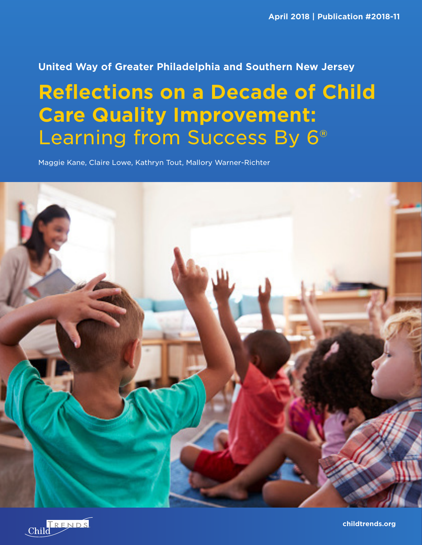## **United Way of Greater Philadelphia and Southern New Jersey**

# **Reflections on a Decade of Child Care Quality Improvement: Learning from**  Learning from Success By 6<sup>®</sup> **Reflections on a Decade of Child Care Quality Improvement:**

Maggie Kane, Claire Lowe, Kathryn Tout, Mallory Warner-Richter



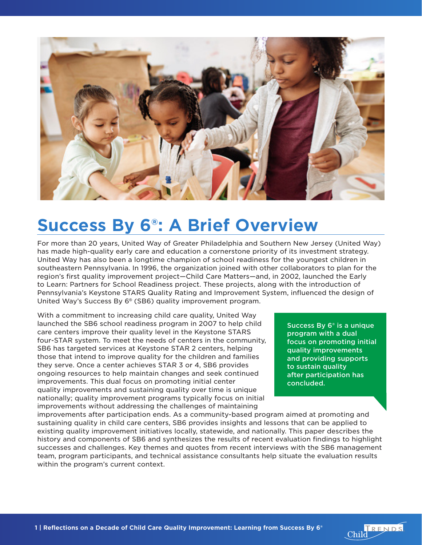

# **Success By 6®: A Brief Overview**

For more than 20 years, United Way of Greater Philadelphia and Southern New Jersey (United Way) has made high-quality early care and education a cornerstone priority of its investment strategy. United Way has also been a longtime champion of school readiness for the youngest children in southeastern Pennsylvania. In 1996, the organization joined with other collaborators to plan for the region's first quality improvement project—Child Care Matters—and, in 2002, launched the Early to Learn: Partners for School Readiness project. These projects, along with the introduction of Pennsylvania's Keystone STARS Quality Rating and Improvement System, influenced the design of United Way's Success By 6® (SB6) quality improvement program.

With a commitment to increasing child care quality, United Way launched the SB6 school readiness program in 2007 to help child care centers improve their quality level in the Keystone STARS four-STAR system. To meet the needs of centers in the community, SB6 has targeted services at Keystone STAR 2 centers, helping those that intend to improve quality for the children and families they serve. Once a center achieves STAR 3 or 4, SB6 provides ongoing resources to help maintain changes and seek continued improvements. This dual focus on promoting initial center quality improvements and sustaining quality over time is unique nationally; quality improvement programs typically focus on initial improvements without addressing the challenges of maintaining

Success By 6® is a unique program with a dual focus on promoting initial quality improvements and providing supports to sustain quality after participation has concluded.

improvements after participation ends. As a community-based program aimed at promoting and sustaining quality in child care centers, SB6 provides insights and lessons that can be applied to existing quality improvement initiatives locally, statewide, and nationally. This paper describes the history and components of SB6 and synthesizes the results of recent evaluation findings to highlight successes and challenges. Key themes and quotes from recent interviews with the SB6 management team, program participants, and technical assistance consultants help situate the evaluation results within the program's current context.

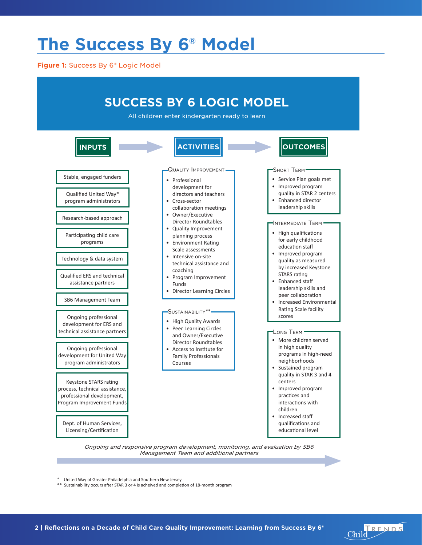# **The Success By 6® Model**

**Figure 1:** Success By 6® Logic Model



United Way of Greater Philadelphia and Southern New Jersey

\*\* Sustainability occurs after STAR 3 or 4 is acheived and completion of 18-month program

Child FRENDS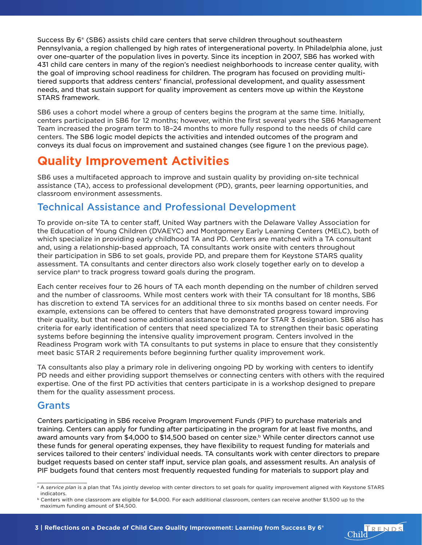Success By 6® (SB6) assists child care centers that serve children throughout southeastern Pennsylvania, a region challenged by high rates of intergenerational poverty. In Philadelphia alone, just over one-quarter of the population lives in poverty. Since its inception in 2007, SB6 has worked with 431 child care centers in many of the region's neediest neighborhoods to increase center quality, with the goal of improving school readiness for children. The program has focused on providing multitiered supports that address centers' financial, professional development, and quality assessment needs, and that sustain support for quality improvement as centers move up within the Keystone STARS framework.

Team increased the program term to 18-24 months to more fully respond to the needs of child care centers. The SB6 logic model depicts the activities and intended outcomes of the program and SB6 uses a cohort model where a group of centers begins the program at the same time. Initially, centers participated in SB6 for 12 months; however, within the first several years the SB6 Management conveys its dual focus on improvement and sustained changes (see figure 1 on the previous page).

## **Quality Improvement Activities**

SB6 uses a multifaceted approach to improve and sustain quality by providing on-site technical assistance (TA), access to professional development (PD), grants, peer learning opportunities, and classroom environment assessments.

### Technical Assistance and Professional Development

To provide on-site TA to center staff, United Way partners with the Delaware Valley Association for the Education of Young Children (DVAEYC) and Montgomery Early Learning Centers (MELC), both of which specialize in providing early childhood TA and PD. Centers are matched with a TA consultant and, using a relationship-based approach, TA consultants work onsite with centers throughout their participation in SB6 to set goals, provide PD, and prepare them for Keystone STARS quality assessment. TA consultants and center directors also work closely together early on to develop a service plan<sup>a</sup> to track progress toward goals during the program.

Each center receives four to 26 hours of TA each month depending on the number of children served and the number of classrooms. While most centers work with their TA consultant for 18 months, SB6 has discretion to extend TA services for an additional three to six months based on center needs. For example, extensions can be offered to centers that have demonstrated progress toward improving their quality, but that need some additional assistance to prepare for STAR 3 designation. SB6 also has criteria for early identification of centers that need specialized TA to strengthen their basic operating systems before beginning the intensive quality improvement program. Centers involved in the Readiness Program work with TA consultants to put systems in place to ensure that they consistently meet basic STAR 2 requirements before beginning further quality improvement work.

TA consultants also play a primary role in delivering ongoing PD by working with centers to identify PD needs and either providing support themselves or connecting centers with others with the required expertise. One of the first PD activities that centers participate in is a workshop designed to prepare them for the quality assessment process.

#### Grants

Centers participating in SB6 receive Program Improvement Funds (PIF) to purchase materials and training. Centers can apply for funding after participating in the program for at least five months, and award amounts vary from \$4,000 to \$14,500 based on center size.<sup>b</sup> While center directors cannot use these funds for general operating expenses, they have flexibility to request funding for materials and services tailored to their centers' individual needs. TA consultants work with center directors to prepare budget requests based on center staff input, service plan goals, and assessment results. An analysis of PIF budgets found that centers most frequently requested funding for materials to support play and



<sup>&</sup>lt;sup>a</sup> A service plan is a plan that TAs jointly develop with center directors to set goals for quality improvement aligned with Keystone STARS indicators.

b Centers with one classroom are eligible for \$4,000. For each additional classroom, centers can receive another \$1,500 up to the maximum funding amount of \$14,500.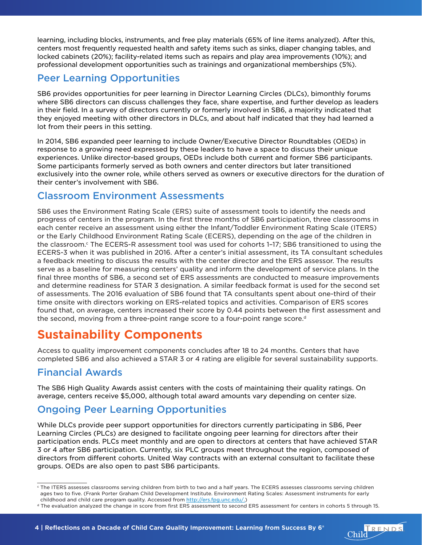learning, including blocks, instruments, and free play materials (65% of line items analyzed). After this, centers most frequently requested health and safety items such as sinks, diaper changing tables, and locked cabinets (20%); facility-related items such as repairs and play area improvements (10%); and professional development opportunities such as trainings and organizational memberships (5%).

### Peer Learning Opportunities

**Reflections on a Decay of Child Care A** control Care and *Learning from their peers* in this setting. SB6 provides opportunities for peer learning in Director Learning Circles (DLCs), bimonthly forums where SB6 directors can discuss challenges they face, share expertise, and further develop as leaders in their field. In a survey of directors currently or formerly involved in SB6, a majority indicated that they enjoyed meeting with other directors in DLCs, and about half indicated that they had learned a

In 2014, SB6 expanded peer learning to include Owner/Executive Director Roundtables (OEDs) in response to a growing need expressed by these leaders to have a space to discuss their unique experiences. Unlike director-based groups, OEDs include both current and former SB6 participants. Some participants formerly served as both owners and center directors but later transitioned exclusively into the owner role, while others served as owners or executive directors for the duration of their center's involvement with SB6.

### Classroom Environment Assessments

SB6 uses the Environment Rating Scale (ERS) suite of assessment tools to identify the needs and progress of centers in the program. In the first three months of SB6 participation, three classrooms in each center receive an assessment using either the Infant/Toddler Environment Rating Scale (ITERS) or the Early Childhood Environment Rating Scale (ECERS), depending on the age of the children in the classroom.<sup>c</sup> The ECERS-R assessment tool was used for cohorts 1-17; SB6 transitioned to using the ECERS-3 when it was published in 2016. After a center's initial assessment, its TA consultant schedules a feedback meeting to discuss the results with the center director and the ERS assessor. The results serve as a baseline for measuring centers' quality and inform the development of service plans. In the final three months of SB6, a second set of ERS assessments are conducted to measure improvements and determine readiness for STAR 3 designation. A similar feedback format is used for the second set of assessments. The 2016 evaluation of SB6 found that TA consultants spent about one-third of their time onsite with directors working on ERS-related topics and activities. Comparison of ERS scores found that, on average, centers increased their score by 0.44 points between the first assessment and the second, moving from a three-point range score to a four-point range score.<sup>d</sup>

## **Sustainability Components**

Access to quality improvement components concludes after 18 to 24 months. Centers that have completed SB6 and also achieved a STAR 3 or 4 rating are eligible for several sustainability supports.

### Financial Awards

The SB6 High Quality Awards assist centers with the costs of maintaining their quality ratings. On average, centers receive \$5,000, although total award amounts vary depending on center size.

### Ongoing Peer Learning Opportunities

While DLCs provide peer support opportunities for directors currently participating in SB6, Peer Learning Circles (PLCs) are designed to facilitate ongoing peer learning for directors after their participation ends. PLCs meet monthly and are open to directors at centers that have achieved STAR 3 or 4 after SB6 participation. Currently, six PLC groups meet throughout the region, composed of directors from different cohorts. United Way contracts with an external consultant to facilitate these groups. OEDs are also open to past SB6 participants.

Child FRENDS

c The ITERS assesses classrooms serving children from birth to two and a half years. The ECERS assesses classrooms serving children ages two to five. (Frank Porter Graham Child Development Institute. Environment Rating Scales: Assessment instruments for early

childhood and child care program quality. Accessed from <u>http://ers.fpg.unc.edu/.</u>)<br><sup>d</sup> The evaluation analyzed the change in score from first ERS assessment to second ERS assessment for centers in cohorts 5 through 15.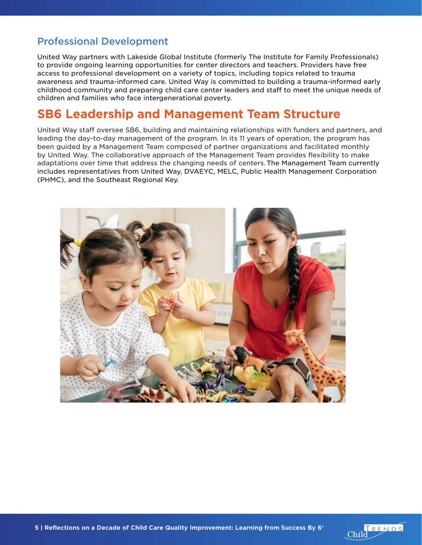### Professional Development

United Way partners with Lakeside Global Institute (formerly The Institute for Family Professionals) to provide ongoing learning opportunities for center directors and teachers. Providers have free access to professional development on a variety of topics, including topics related to trauma awareness and trauma-informed care. United Way is committed to building a trauma-informed early childhood community and preparing child care center leaders and staff to meet the unique needs of children and families who face intergenerational poverty.

## **SB6 Leadership and Management Team Structure**

**Reflections on a Decade of Child Care Quality Improvement: Learning from**  United Way staff oversee SB6, building and maintaining relationships with funders and partners, and **Success By 6®** leading the day-to-day management of the program. In its 11 years of operation, the program has been guided by a Management Team composed of partner organizations and facilitated monthly by United Way. The collaborative approach of the Management Team provides flexibility to make adaptations over time that address the changing needs of centers. The Management Team currently includes representatives from United Way, DVAEYC, MELC, Public Health Management Corporation (PHMC), and the Southeast Regional Key.



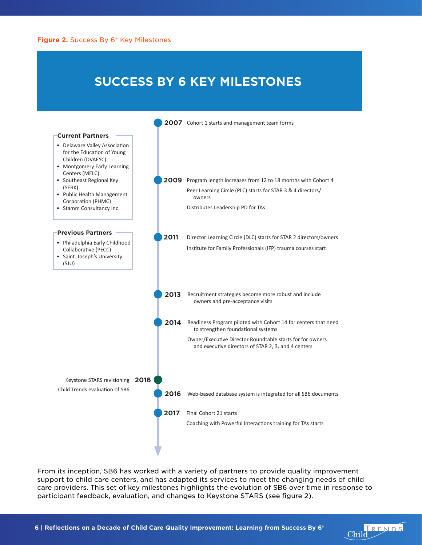## **SUCCESS BY 6 KEY MILESTONES**



From its inception, SB6 has worked with a variety of partners to provide quality improvement support to child care centers, and has adapted its services to meet the changing needs of child care providers. This set of key milestones highlights the evolution of SB6 over time in response to participant feedback, evaluation, and changes to Keystone STARS (see figure 2).

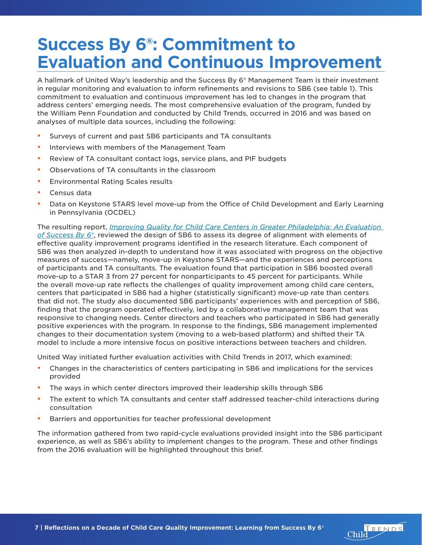# **Success By 6®: Commitment to Evaluation and Continuous Improvement**

analyses of multiple data sources, including the following: A hallmark of United Way's leadership and the Success By 6® Management Team is their investment in regular monitoring and evaluation to inform refinements and revisions to SB6 (see table 1). This commitment to evaluation and continuous improvement has led to changes in the program that address centers' emerging needs. The most comprehensive evaluation of the program, funded by the William Penn Foundation and conducted by Child Trends, occurred in 2016 and was based on

- **•** Surveys of current and past SB6 participants and TA consultants
- Interviews with members of the Management Team
- Review of TA consultant contact logs, service plans, and PIF budgets
- Observations of TA consultants in the classroom
- Environmental Rating Scales results
- Census data
- Data on Keystone STARS level move-up from the Office of Child Development and Early Learning in Pennsylvania (OCDEL)

The resulting report, *Improving Quality for Child Care Centers in Greater Philadelphia: An Evaluation of Success By 6®*, reviewed the design of SB6 to assess its degree of alignment with elements of effective quality improvement programs identified in the research literature. Each component of SB6 was then analyzed in-depth to understand how it was associated with progress on the objective measures of success—namely, move-up in Keystone STARS—and the experiences and perceptions of participants and TA consultants. The evaluation found that participation in SB6 boosted overall move-up to a STAR 3 from 27 percent for nonparticipants to 45 percent for participants. While the overall move-up rate reflects the challenges of quality improvement among child care centers, centers that participated in SB6 had a higher (statistically significant) move-up rate than centers that did not. The study also documented SB6 participants' experiences with and perception of SB6, finding that the program operated effectively, led by a collaborative management team that was responsive to changing needs. Center directors and teachers who participated in SB6 had generally positive experiences with the program. In response to the findings, SB6 management implemented changes to their documentation system (moving to a web-based platform) and shifted their TA model to include a more intensive focus on positive interactions between teachers and children.

United Way initiated further evaluation activities with Child Trends in 2017, which examined:

- Changes in the characteristics of centers participating in SB6 and implications for the services provided
- The ways in which center directors improved their leadership skills through SB6
- The extent to which TA consultants and center staff addressed teacher-child interactions during consultation
- Barriers and opportunities for teacher professional development

The information gathered from two rapid-cycle evaluations provided insight into the SB6 participant experience, as well as SB6's ability to implement changes to the program. These and other findings from the 2016 evaluation will be highlighted throughout this brief.

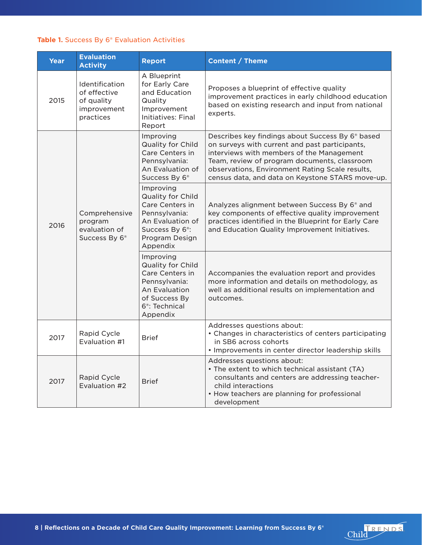#### **Table 1.** Success By 6® Evaluation Activities

| <b>Year</b> | <b>Evaluation</b><br><b>Activity</b>                                     | <b>Report</b>                                                                                                                                              | <b>Content / Theme</b>                                                                                                                                                                                                                                                                                             |
|-------------|--------------------------------------------------------------------------|------------------------------------------------------------------------------------------------------------------------------------------------------------|--------------------------------------------------------------------------------------------------------------------------------------------------------------------------------------------------------------------------------------------------------------------------------------------------------------------|
| 2015        | Identification<br>of effective<br>of quality<br>improvement<br>practices | A Blueprint<br>for Early Care<br>and Education<br>Quality<br>Improvement<br><b>Initiatives: Final</b><br>Report                                            | Proposes a blueprint of effective quality<br>improvement practices in early childhood education<br>based on existing research and input from national<br>experts.                                                                                                                                                  |
| 2016        | Comprehensive<br>program<br>evaluation of<br>Success By 6 <sup>®</sup>   | Improving<br>Quality for Child<br>Care Centers in<br>Pennsylvania:<br>An Evaluation of<br>Success By 6 <sup>®</sup>                                        | Describes key findings about Success By 6 <sup>®</sup> based<br>on surveys with current and past participants,<br>interviews with members of the Management<br>Team, review of program documents, classroom<br>observations, Environment Rating Scale results,<br>census data, and data on Keystone STARS move-up. |
|             |                                                                          | Improving<br><b>Quality for Child</b><br>Care Centers in<br>Pennsylvania:<br>An Evaluation of<br>Success By 6 <sup>®</sup> :<br>Program Design<br>Appendix | Analyzes alignment between Success By 6 <sup>®</sup> and<br>key components of effective quality improvement<br>practices identified in the Blueprint for Early Care<br>and Education Quality Improvement Initiatives.                                                                                              |
|             |                                                                          | Improving<br><b>Quality for Child</b><br>Care Centers in<br>Pennsylvania:<br>An Evaluation<br>of Success By<br>6 <sup>®</sup> : Technical<br>Appendix      | Accompanies the evaluation report and provides<br>more information and details on methodology, as<br>well as additional results on implementation and<br>outcomes.                                                                                                                                                 |
| 2017        | Rapid Cycle<br>Evaluation #1                                             | <b>Brief</b>                                                                                                                                               | Addresses questions about:<br>• Changes in characteristics of centers participating<br>in SB6 across cohorts<br>• Improvements in center director leadership skills                                                                                                                                                |
| 2017        | Rapid Cycle<br>Evaluation #2                                             | <b>Brief</b>                                                                                                                                               | Addresses questions about:<br>• The extent to which technical assistant (TA)<br>consultants and centers are addressing teacher-<br>child interactions<br>• How teachers are planning for professional<br>development                                                                                               |

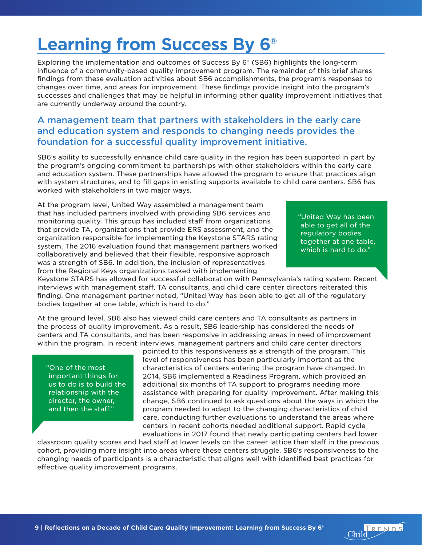# **Learning from Success By 6®**

Exploring the implementation and outcomes of Success By 6® (SB6) highlights the long-term influence of a community-based quality improvement program. The remainder of this brief shares findings from these evaluation activities about SB6 accomplishments, the program's responses to changes over time, and areas for improvement. These findings provide insight into the program's successes and challenges that may be helpful in informing other quality improvement initiatives that are currently underway around the country.

#### **Reflections on a Decade of Child Care Quality Improvement: Learning from Success By 6®** and education system and responds to changing needs provides the A management team that partners with stakeholders in the early care foundation for a successful quality improvement initiative.

SB6's ability to successfully enhance child care quality in the region has been supported in part by the program's ongoing commitment to partnerships with other stakeholders within the early care and education system. These partnerships have allowed the program to ensure that practices align with system structures, and to fill gaps in existing supports available to child care centers. SB6 has worked with stakeholders in two major ways.

At the program level, United Way assembled a management team that has included partners involved with providing SB6 services and monitoring quality. This group has included staff from organizations that provide TA, organizations that provide ERS assessment, and the organization responsible for implementing the Keystone STARS rating system. The 2016 evaluation found that management partners worked collaboratively and believed that their flexible, responsive approach was a strength of SB6. In addition, the inclusion of representatives from the Regional Keys organizations tasked with implementing

"United Way has been able to get all of the regulatory bodies together at one table, which is hard to do."

Keystone STARS has allowed for successful collaboration with Pennsylvania's rating system. Recent interviews with management staff, TA consultants, and child care center directors reiterated this finding. One management partner noted, "United Way has been able to get all of the regulatory bodies together at one table, which is hard to do."

At the ground level, SB6 also has viewed child care centers and TA consultants as partners in the process of quality improvement. As a result, SB6 leadership has considered the needs of centers and TA consultants, and has been responsive in addressing areas in need of improvement within the program. In recent interviews, management partners and child care center directors

"One of the most important things for us to do is to build the relationship with the director, the owner, and then the staff."

pointed to this responsiveness as a strength of the program. This level of responsiveness has been particularly important as the characteristics of centers entering the program have changed. In 2014, SB6 implemented a Readiness Program, which provided an additional six months of TA support to programs needing more assistance with preparing for quality improvement. After making this change, SB6 continued to ask questions about the ways in which the program needed to adapt to the changing characteristics of child care, conducting further evaluations to understand the areas where centers in recent cohorts needed additional support. Rapid cycle evaluations in 2017 found that newly participating centers had lower

classroom quality scores and had staff at lower levels on the career lattice than staff in the previous cohort, providing more insight into areas where these centers struggle. SB6's responsiveness to the changing needs of participants is a characteristic that aligns well with identified best practices for effective quality improvement programs.

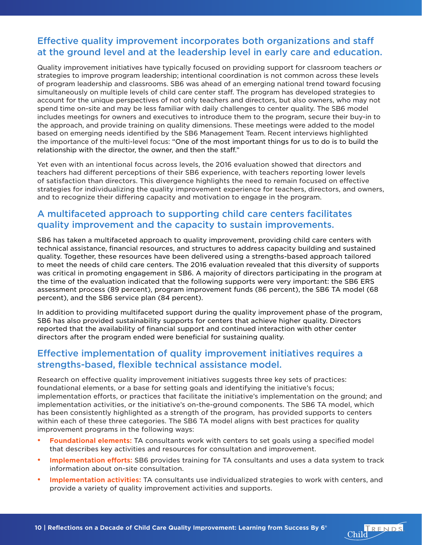### Effective quality improvement incorporates both organizations and staff at the ground level and at the leadership level in early care and education.

the approach, and provide training on quality dimensions. These meetings were added to the model **Success By 6®** based on emerging needs identified by the SB6 Management Team. Recent interviews highlighted Quality improvement initiatives have typically focused on providing support for classroom teachers *or* strategies to improve program leadership; intentional coordination is not common across these levels of program leadership and classrooms. SB6 was ahead of an emerging national trend toward focusing simultaneously on multiple levels of child care center staff. The program has developed strategies to account for the unique perspectives of not only teachers and directors, but also owners, who may not spend time on-site and may be less familiar with daily challenges to center quality. The SB6 model includes meetings for owners and executives to introduce them to the program, secure their buy-in to the importance of the multi-level focus: "One of the most important things for us to do is to build the relationship with the director, the owner, and then the staff."

Yet even with an intentional focus across levels, the 2016 evaluation showed that directors and teachers had different perceptions of their SB6 experience, with teachers reporting lower levels of satisfaction than directors. This divergence highlights the need to remain focused on effective strategies for individualizing the quality improvement experience for teachers, directors, and owners, and to recognize their differing capacity and motivation to engage in the program.

### A multifaceted approach to supporting child care centers facilitates quality improvement and the capacity to sustain improvements.

SB6 has taken a multifaceted approach to quality improvement, providing child care centers with technical assistance, financial resources, and structures to address capacity building and sustained quality. Together, these resources have been delivered using a strengths-based approach tailored to meet the needs of child care centers. The 2016 evaluation revealed that this diversity of supports was critical in promoting engagement in SB6. A majority of directors participating in the program at the time of the evaluation indicated that the following supports were very important: the SB6 ERS assessment process (89 percent), program improvement funds (86 percent), the SB6 TA model (68 percent), and the SB6 service plan (84 percent).

In addition to providing multifaceted support during the quality improvement phase of the program, SB6 has also provided sustainability supports for centers that achieve higher quality. Directors reported that the availability of financial support and continued interaction with other center directors after the program ended were beneficial for sustaining quality.

#### Effective implementation of quality improvement initiatives requires a strengths-based, flexible technical assistance model.

Research on effective quality improvement initiatives suggests three key sets of practices: foundational elements, or a base for setting goals and identifying the initiative's focus; implementation efforts, or practices that facilitate the initiative's implementation on the ground; and implementation activities, or the initiative's on-the-ground components. The SB6 TA model, which has been consistently highlighted as a strength of the program, has provided supports to centers within each of these three categories. The SB6 TA model aligns with best practices for quality improvement programs in the following ways:

- **Foundational elements:** TA consultants work with centers to set goals using a specified model that describes key activities and resources for consultation and improvement.
- **Implementation efforts:** SB6 provides training for TA consultants and uses a data system to track information about on-site consultation.
- **Implementation activities:** TA consultants use individualized strategies to work with centers, and provide a variety of quality improvement activities and supports.

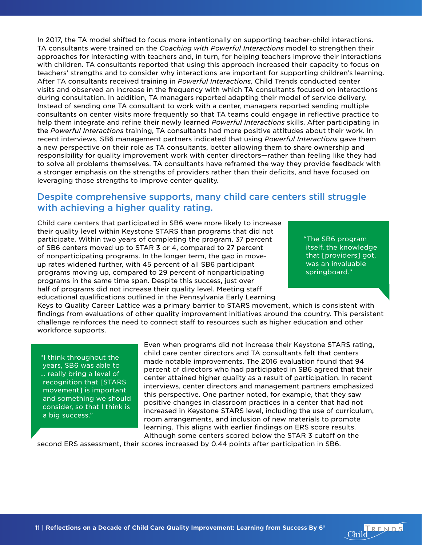neip them integrate and renne their newly learned *Powerrul Interactions* skins. After participating i<br>the *Powerful Interactions* training, TA consultants had more positive attitudes about their work. In **Success By 6®** recent interviews, SB6 management partners indicated that using *Powerful Interactions* gave them In 2017, the TA model shifted to focus more intentionally on supporting teacher-child interactions. TA consultants were trained on the *Coaching with Powerful Interactions* model to strengthen their approaches for interacting with teachers and, in turn, for helping teachers improve their interactions with children. TA consultants reported that using this approach increased their capacity to focus on teachers' strengths and to consider why interactions are important for supporting children's learning. After TA consultants received training in *Powerful Interactions*, Child Trends conducted center visits and observed an increase in the frequency with which TA consultants focused on interactions during consultation. In addition, TA managers reported adapting their model of service delivery. Instead of sending one TA consultant to work with a center, managers reported sending multiple consultants on center visits more frequently so that TA teams could engage in reflective practice to help them integrate and refine their newly learned *Powerful Interactions* skills. After participating in a new perspective on their role as TA consultants, better allowing them to share ownership and responsibility for quality improvement work with center directors—rather than feeling like they had to solve all problems themselves. TA consultants have reframed the way they provide feedback with a stronger emphasis on the strengths of providers rather than their deficits, and have focused on leveraging those strengths to improve center quality.

#### Despite comprehensive supports, many child care centers still struggle with achieving a higher quality rating.

Child care centers that participated in SB6 were more likely to increase their quality level within Keystone STARS than programs that did not participate. Within two years of completing the program, 37 percent of SB6 centers moved up to STAR 3 or 4, compared to 27 percent of nonparticipating programs. In the longer term, the gap in moveup rates widened further, with 45 percent of all SB6 participant programs moving up, compared to 29 percent of nonparticipating programs in the same time span. Despite this success, just over half of programs did not increase their quality level. Meeting staff educational qualifications outlined in the Pennsylvania Early Learning

"The SB6 program itself, the knowledge that [providers] got, was an invaluable springboard."

Keys to Quality Career Lattice was a primary barrier to STARS movement, which is consistent with findings from evaluations of other quality improvement initiatives around the country. This persistent challenge reinforces the need to connect staff to resources such as higher education and other workforce supports.

"I think throughout the years, SB6 was able to … really bring a level of recognition that [STARS movement] is important and something we should consider, so that I think is a big success."

Even when programs did not increase their Keystone STARS rating, child care center directors and TA consultants felt that centers made notable improvements. The 2016 evaluation found that 94 percent of directors who had participated in SB6 agreed that their center attained higher quality as a result of participation. In recent interviews, center directors and management partners emphasized this perspective. One partner noted, for example, that they saw positive changes in classroom practices in a center that had not increased in Keystone STARS level, including the use of curriculum, room arrangements, and inclusion of new materials to promote learning. This aligns with earlier findings on ERS score results. Although some centers scored below the STAR 3 cutoff on the

second ERS assessment, their scores increased by 0.44 points after participation in SB6.

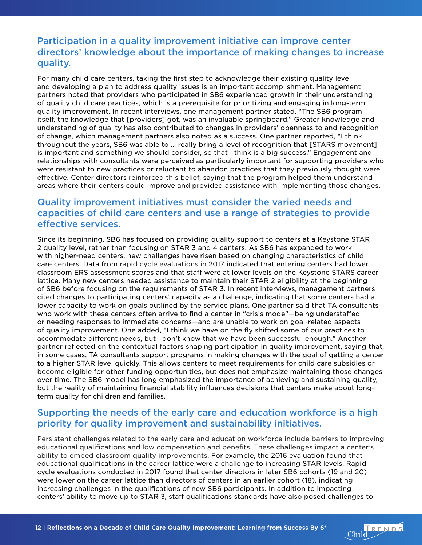### Participation in a quality improvement initiative can improve center directors' knowledge about the importance of making changes to increase quality.

understanding of quality has also contributed to changes in providers' openness to and recognition of change, which management partners also noted as a success. One partner reported, "I think For many child care centers, taking the first step to acknowledge their existing quality level and developing a plan to address quality issues is an important accomplishment. Management partners noted that providers who participated in SB6 experienced growth in their understanding of quality child care practices, which is a prerequisite for prioritizing and engaging in long-term quality improvement. In recent interviews, one management partner stated, "The SB6 program itself, the knowledge that [providers] got, was an invaluable springboard." Greater knowledge and throughout the years, SB6 was able to … really bring a level of recognition that [STARS movement] is important and something we should consider, so that I think is a big success." Engagement and relationships with consultants were perceived as particularly important for supporting providers who were resistant to new practices or reluctant to abandon practices that they previously thought were effective. Center directors reinforced this belief, saying that the program helped them understand areas where their centers could improve and provided assistance with implementing those changes.

### Quality improvement initiatives must consider the varied needs and capacities of child care centers and use a range of strategies to provide effective services.

Since its beginning, SB6 has focused on providing quality support to centers at a Keystone STAR 2 quality level, rather than focusing on STAR 3 and 4 centers. As SB6 has expanded to work with higher-need centers, new challenges have risen based on changing characteristics of child care centers. Data from rapid cycle evaluations in 2017 indicated that entering centers had lower classroom ERS assessment scores and that staff were at lower levels on the Keystone STARS career lattice. Many new centers needed assistance to maintain their STAR 2 eligibility at the beginning of SB6 before focusing on the requirements of STAR 3. In recent interviews, management partners cited changes to participating centers' capacity as a challenge, indicating that some centers had a lower capacity to work on goals outlined by the service plans. One partner said that TA consultants who work with these centers often arrive to find a center in "crisis mode"—being understaffed or needing responses to immediate concerns—and are unable to work on goal-related aspects of quality improvement. One added, "I think we have on the fly shifted some of our practices to accommodate different needs, but I don't know that we have been successful enough." Another partner reflected on the contextual factors shaping participation in quality improvement, saying that, in some cases, TA consultants support programs in making changes with the goal of getting a center to a higher STAR level quickly. This allows centers to meet requirements for child care subsidies or become eligible for other funding opportunities, but does not emphasize maintaining those changes over time. The SB6 model has long emphasized the importance of achieving and sustaining quality, but the reality of maintaining financial stability influences decisions that centers make about longterm quality for children and families.

#### Supporting the needs of the early care and education workforce is a high priority for quality improvement and sustainability initiatives.

Persistent challenges related to the early care and education workforce include barriers to improving educational qualifications and low compensation and benefits. These challenges impact a center's ability to embed classroom quality improvements. For example, the 2016 evaluation found that educational qualifications in the career lattice were a challenge to increasing STAR levels. Rapid cycle evaluations conducted in 2017 found that center directors in later SB6 cohorts (19 and 20) were lower on the career lattice than directors of centers in an earlier cohort (18), indicating increasing challenges in the qualifications of new SB6 participants. In addition to impacting centers' ability to move up to STAR 3, staff qualifications standards have also posed challenges to

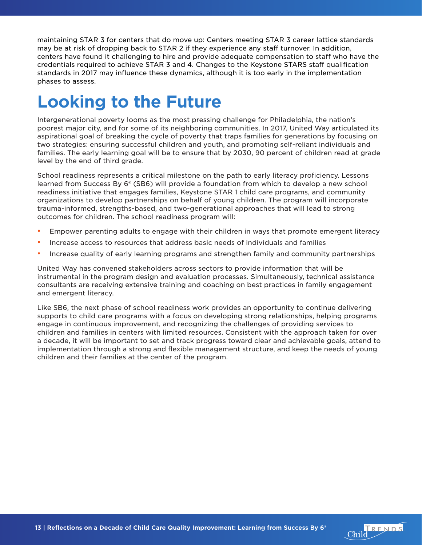maintaining STAR 3 for centers that do move up: Centers meeting STAR 3 career lattice standards may be at risk of dropping back to STAR 2 if they experience any staff turnover. In addition, centers have found it challenging to hire and provide adequate compensation to staff who have the credentials required to achieve STAR 3 and 4. Changes to the Keystone STARS staff qualification standards in 2017 may influence these dynamics, although it is too early in the implementation phases to assess.

# **Looking to the Future**

poorest major city, and for some of its neighboring communities. In 2017, United Way articulated its .<br>**Superational goal of breaking the cycle of poverty that traps families for generations by focusing on** Intergenerational poverty looms as the most pressing challenge for Philadelphia, the nation's two strategies: ensuring successful children and youth, and promoting self-reliant individuals and families. The early learning goal will be to ensure that by 2030, 90 percent of children read at grade level by the end of third grade.

School readiness represents a critical milestone on the path to early literacy proficiency. Lessons learned from Success By 6® (SB6) will provide a foundation from which to develop a new school readiness initiative that engages families, Keystone STAR 1 child care programs, and community organizations to develop partnerships on behalf of young children. The program will incorporate trauma-informed, strengths-based, and two-generational approaches that will lead to strong outcomes for children. The school readiness program will:

- Empower parenting adults to engage with their children in ways that promote emergent literacy
- Increase access to resources that address basic needs of individuals and families
- Increase quality of early learning programs and strengthen family and community partnerships

United Way has convened stakeholders across sectors to provide information that will be instrumental in the program design and evaluation processes. Simultaneously, technical assistance consultants are receiving extensive training and coaching on best practices in family engagement and emergent literacy.

Like SB6, the next phase of school readiness work provides an opportunity to continue delivering supports to child care programs with a focus on developing strong relationships, helping programs engage in continuous improvement, and recognizing the challenges of providing services to children and families in centers with limited resources. Consistent with the approach taken for over a decade, it will be important to set and track progress toward clear and achievable goals, attend to implementation through a strong and flexible management structure, and keep the needs of young children and their families at the center of the program.

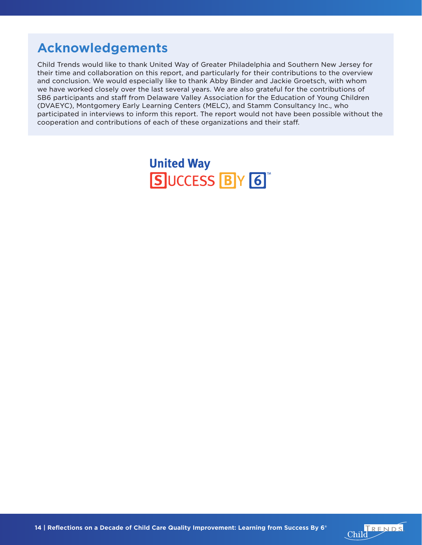# **Acknowledgements**

**Reflections on a Decade of Child Care Quality Improvement: Learning from**  cooperation and contributions of each of these organizations and their staff. Child Trends would like to thank United Way of Greater Philadelphia and Southern New Jersey for their time and collaboration on this report, and particularly for their contributions to the overview and conclusion. We would especially like to thank Abby Binder and Jackie Groetsch, with whom we have worked closely over the last several years. We are also grateful for the contributions of SB6 participants and staff from Delaware Valley Association for the Education of Young Children (DVAEYC), Montgomery Early Learning Centers (MELC), and Stamm Consultancy Inc., who participated in interviews to inform this report. The report would not have been possible without the



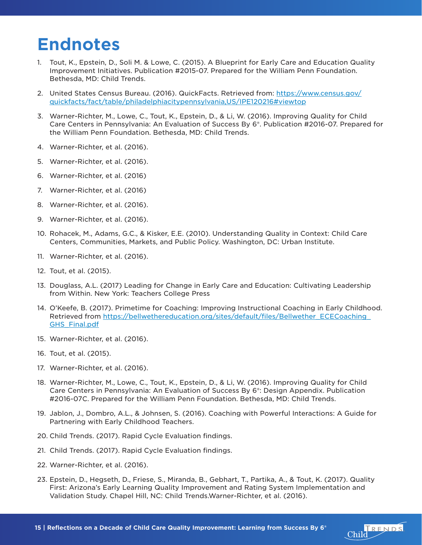# **Endnotes**

- 1. Tout, K., Epstein, D., Soli M. & Lowe, C. (2015). A Blueprint for Early Care and Education Quality Improvement Initiatives. Publication #2015-07. Prepared for the William Penn Foundation. Bethesda, MD: Child Trends.
- 2. United States Census Bureau. (2016). QuickFacts. Retrieved from: https://www.census.gov/ quickfacts/fact/table/philadelphiacitypennsylvania,US/IPE120216#viewtop
- Care Centers in Pennsylvania: An Evaluation of Success By 6<sup>®</sup>. Publication #2016-07. Prepared for **Success By 6®** the William Penn Foundation. Bethesda, MD: Child Trends. 3. Warner-Richter, M., Lowe, C., Tout, K., Epstein, D., & Li, W. (2016). Improving Quality for Child
- 4. Warner-Richter, et al. (2016).
- 5. Warner-Richter, et al. (2016).
- 6. Warner-Richter, et al. (2016)
- 7. Warner-Richter, et al. (2016)
- 8. Warner-Richter, et al. (2016).
- 9. Warner-Richter, et al. (2016).
- 10. Rohacek, M., Adams, G.C., & Kisker, E.E. (2010). Understanding Quality in Context: Child Care Centers, Communities, Markets, and Public Policy. Washington, DC: Urban Institute.
- 11. Warner-Richter, et al. (2016).
- 12. Tout, et al. (2015).
- 13. Douglass, A.L. (2017) Leading for Change in Early Care and Education: Cultivating Leadership from Within. New York: Teachers College Press
- 14. O'Keefe, B. (2017). Primetime for Coaching: Improving Instructional Coaching in Early Childhood. Retrieved from https://bellwethereducation.org/sites/default/files/Bellwether\_ECECoaching\_ GHS Final.pdf
- 15. Warner-Richter, et al. (2016).
- 16. Tout, et al. (2015).
- 17. Warner-Richter, et al. (2016).
- 18. Warner-Richter, M., Lowe, C., Tout, K., Epstein, D., & Li, W. (2016). Improving Quality for Child Care Centers in Pennsylvania: An Evaluation of Success By 6®: Design Appendix. Publication #2016-07C. Prepared for the William Penn Foundation. Bethesda, MD: Child Trends.
- 19. Jablon, J., Dombro, A.L., & Johnsen, S. (2016). Coaching with Powerful Interactions: A Guide for Partnering with Early Childhood Teachers.
- 20. Child Trends. (2017). Rapid Cycle Evaluation findings.
- 21. Child Trends. (2017). Rapid Cycle Evaluation findings.
- 22. Warner-Richter, et al. (2016).
- 23. Epstein, D., Hegseth, D., Friese, S., Miranda, B., Gebhart, T., Partika, A., & Tout, K. (2017). Quality First: Arizona's Early Learning Quality Improvement and Rating System Implementation and Validation Study. Chapel Hill, NC: Child Trends.Warner-Richter, et al. (2016).

Child RENDS